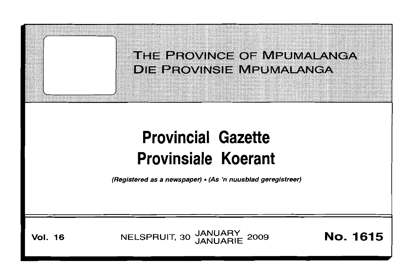

(Registered as a newspaper) • (As 'n nuusblad geregistreer)

**Vol. 16 NELSPRUIT, 30 JANUARY 2009 <b>No. 1615**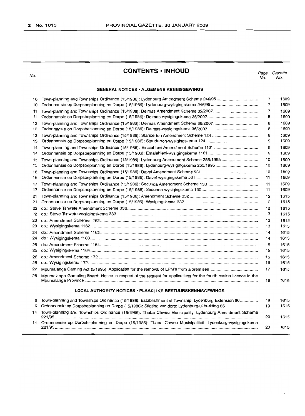No.

# **CONTENTS • INHOUD**

Page Gazette No. No.

# **GENERAL NOTICES· ALGEMENE KENNISGEWINGS**

| 10 | Town-planning and Townships Ordinance (15/1986): Lydenburg Amendment Scheme 246/95                                | 7                        | 1609 |
|----|-------------------------------------------------------------------------------------------------------------------|--------------------------|------|
| 10 |                                                                                                                   | $\overline{\phantom{a}}$ | 1609 |
| 11 | Town-planning and Townships Ordinance (15/1986): Delmas Amendment Scheme 35/2007                                  | 7                        | 1609 |
| 11 |                                                                                                                   | 8                        | 1609 |
| 12 |                                                                                                                   | 8                        | 1609 |
| 12 |                                                                                                                   | 8                        | 1609 |
| 13 |                                                                                                                   | 8                        | 1609 |
| 13 |                                                                                                                   | 9                        | 1609 |
| 14 |                                                                                                                   | 9                        | 1609 |
| 14 |                                                                                                                   | 9                        | 1609 |
| 15 | Town-planning and Townships Ordinance (15/1986): Lydenburg Amendment Scheme 255/1995                              | 10                       | 1609 |
| 15 |                                                                                                                   | 10                       | 1609 |
| 16 |                                                                                                                   | 10                       | 1609 |
| 16 |                                                                                                                   | 11                       | 1609 |
| 17 |                                                                                                                   | 11                       | 1609 |
| 17 |                                                                                                                   | 11                       | 1609 |
| 21 |                                                                                                                   | 12                       | 1615 |
| 21 |                                                                                                                   | 12                       | 1615 |
| 22 |                                                                                                                   | 12                       | 1615 |
| 22 |                                                                                                                   | 13                       | 1615 |
| 23 |                                                                                                                   | 13                       | 1615 |
| 23 |                                                                                                                   | 13                       | 1615 |
| 24 |                                                                                                                   | 14                       | 1615 |
| 24 |                                                                                                                   | 14                       | 1615 |
| 25 |                                                                                                                   | 15                       | 1615 |
| 25 |                                                                                                                   | 15                       | 1615 |
| 26 |                                                                                                                   | 15                       | 1615 |
| 26 |                                                                                                                   | 16                       | 1615 |
| 27 |                                                                                                                   | 17                       | 1615 |
| 28 | Mpumalanga Gambling Board: Notice in respect of the request for applications for the fourth casino licence in the | 18                       | 1615 |
|    | <b>LOCAL AUTHORITY NOTICES · PLAASLIKE BESTUURSKENNISGEWINGS</b>                                                  |                          |      |
| 6  | Town-planning and Townships Ordinance (15/1986): Establishment of Township: Lydenburg Extension 86                | 19                       | 1615 |
| 6  | Ordonnansie op Dorpsbeplanning en Dorpe (15/1986): Stigting van dorp: Lydenburg-uitbreiding 86                    | 19                       | 1615 |
| 14 | Town-planning and Townships Ordinance (15/1986): Thaba Chweu Municipality: Lydenburg Amendment Scheme             | 20                       | 1615 |
| 14 | Ordonnansie op Dorpsbeplanning en Dorpe (15/1986): Thaba Chweu Munisipaliteit: Lydenburg-wysigingskema            | 20                       | 1615 |

t,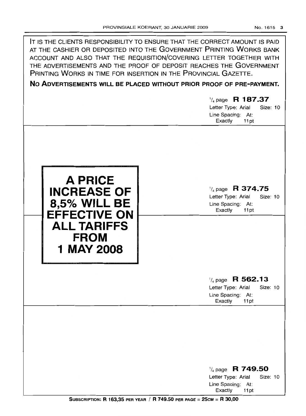| IT IS THE CLIENTS RESPONSIBILITY TO ENSURE THAT THE CORRECT AMOUNT IS PAID<br>AT THE CASHIER OR DEPOSITED INTO THE GOVERNMENT PRINTING WORKS BANK<br>ACCOUNT AND ALSO THAT THE REQUISITION/COVERING LETTER TOGETHER WITH<br>THE ADVERTISEMENTS AND THE PROOF OF DEPOSIT REACHES THE GOVERNMENT<br>PRINTING WORKS IN TIME FOR INSERTION IN THE PROVINCIAL GAZETTE.<br>NO ADVERTISEMENTS WILL BE PLACED WITHOUT PRIOR PROOF OF PRE-PAYMENT. | $\frac{1}{4}$ page R 187.37<br>Letter Type: Arial<br>Size: 10<br>Line Spacing: At:<br>Exactly<br>11pt |
|-------------------------------------------------------------------------------------------------------------------------------------------------------------------------------------------------------------------------------------------------------------------------------------------------------------------------------------------------------------------------------------------------------------------------------------------|-------------------------------------------------------------------------------------------------------|
| <b>A PRICE</b><br><b>INCREASE OF</b><br><b>8,5% WILL BE</b><br><b>EFFECTIVE ON</b><br><b>ALL TARIFFS</b><br><b>FROM</b><br>1 MAY 2008                                                                                                                                                                                                                                                                                                     | $\frac{1}{4}$ page R 374.75<br>Letter Type: Arial<br>Size: 10<br>Line Spacing: At:<br>Exactly<br>11pt |
|                                                                                                                                                                                                                                                                                                                                                                                                                                           | $\frac{1}{4}$ page R 562.13<br>Letter Type: Arial<br>Size: 10<br>Line Spacing: At:<br>Exactly<br>11pt |
|                                                                                                                                                                                                                                                                                                                                                                                                                                           | $\frac{1}{4}$ page R 749.50<br>Letter Type: Arial<br>Size: 10<br>Line Spacing: At:<br>Exactly<br>11pt |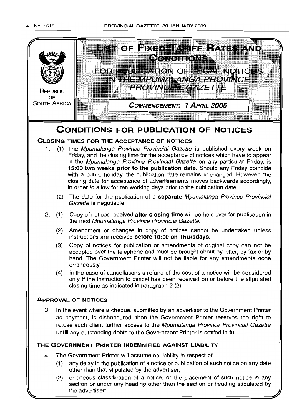

(2) erroneous classification of a notice, or the placement of such notice in any section or under any heading other than the section or heading stipulated by the advertiser;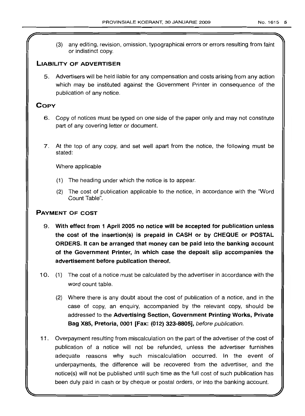(3) any editing, revision, omission, typographical errors or errors resulting from faint or indistinct copy.

# LIABILITY OF ADVERTISER

5. Advertisers will be held liable for any compensation and costs arising from any action which may be instituted against the Government Printer in consequence of the publication of any notice.

# **COPY**

- 6. Copy of notices must be typed on one side of the paper only and may not constitute part of any covering letter or document.
- 7. At the top of any copy, and set well apart from the notice, the following must be stated:

Where applicable

- (1) The heading under which the notice is to appear.
- (2) The cost of publication applicable to the notice, in accordance with the "Word Count Table".

# PAYMENT OF COST

- 9. With effect from 1 April 2005 no notice will be accepted for publication unless the cost of the insertion(s} is prepaid in CASH or by CHEQUE or POSTAL ORDERS. It can be arranged that money can be paid into the banking account of the Government Printer, in which case the deposit slip accompanies the advertisement before publication thereof.
- 10. (1) The cost of a notice must be calculated by the advertiser in accordance with the word count table.
	- (2) Where there is any doubt about the cost of publication of a notice, and in the case of copy, an enquiry, accompanied by the relevant copy, should be addressed to the Advertising Section, Government Printing Works, Private Bag X85, Pretoria, 0001 [Fax: (012) 323-8805], before publication.
- 11. Overpayment resulting from miscalculation on the part of the advertiser of the cost of publication of a notice will not be refunded, unless the advertiser furnishes adequate reasons why such miscalculation occurred. In the event of underpayments, the difference will be recovered from the advertiser, and the notice(s) will not be published until such time as the full cost of such publication has been duly paid in cash or by cheque or postal orders, or into the banking account.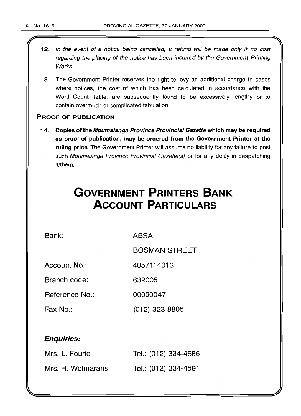- 12. In the event of a notice being cancelled, a refund will be made only if no cost regarding the placing of the notice has been incurred by the Government Printing Works.
- 13. The Government Printer reserves the right to levy an additional charge in cases where notices, the cost of which has been calculated in accordance with the Word Count Table, are subsequently found to be excessively lengthy or to contain overmuch or complicated tabulation.

# PROOF OF PUBLICATION

14. Copies of the Mpumalanga Province Provincial Gazette which may be required as proof of publication, may be ordered from the Government Printer at the ruling price. The Government Printer will assume no liability for any failure to post such Mpumalanga Province Provincial Gazette(s) or for any delay in despatching it/them.

# **GOVERNMENT PRINTERS BANK ACCOUNT PARTICULARS**

Bank: ABSA

BOSMAN STREET

Account No.: 4057114016

Branch code: 632005

Reference No.: 00000047

Fax No.: (012) 323 8805

# Enquiries:

| Mrs. L. Fourie    | Tel.: (012) 334-4686 |
|-------------------|----------------------|
| Mrs. H. Wolmarans | Tel.: (012) 334-4591 |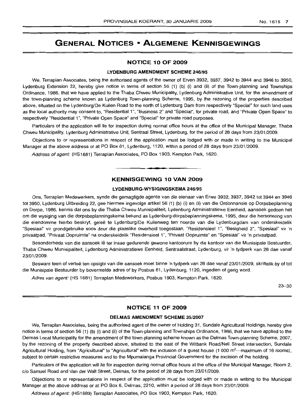# **GENERAL NOTICES • ALGEMENE KENNISGEWINGS**

#### **NOTICE 10 OF 2009**

#### **LYDENBURG AMENDMENT SCHEME** 246/95

We, Terraplan Associates, being the authorised agents of the owner of Erven 3932, 3937, 3942 to 3944 and 3946 to 3950, Lydenburg Extension 22, hereby give notice in terms of section 56 (1) (b) (i) and (ii) of the Town-planning and Townships Ordinance, 1986, that we have applied to the Thaba Chweu Municipality, Lydenburg Administrative Unit, for the amendment of the town-planning scheme known as Lydenburg Town-planning Scheme, 1995, by the rezoning of the properties described above, situated on the Lydenburg/De Kuilen Road to the north of Lydenburg Dam from respectively "Special" for such land uses as the local authority may consent to, "Residential 1", "Business 2" and "Special", for private road, and "Private Open Space" to respectively "Residential 1", "Private Open Space" and "Special" for private road purposes.

Particulars of the application will lie for inspection during normal office hours at the office of the Municipal Manager, Thaba Chweu Municipality, Lydenburg Administrative Unit, Sentraal Street, Lydenburg, for the period of 28 days from 23/01/2009.

Objections to or representations in respect of the application must be lodged with or made in writing to the Municipal Manager at the above address or at PO Box 61, Lydenburg, 1120, within a period of 28 days from 23/01/2009.

Address of agent: (HS1681) Terraplan Associates, PO Box 1903, Kempton Park, 1620.

# **KENNISGEWING 10 VAN 2009**

• **• •**

## **LYDENBURG-WYSIGINGSKEMA** 246/95

Ons, Terraplan Medewerkers, synde die gemagtigde agente van die eienaar van Erwe 3932, 3937, 3942 tot 3944 en 3946 tot 3950, Lydenburg Uitbreiding 22, gee hiermee ingevolge artikel 56 (1) (b) (i) en (ii) van die Ordonnansie op Dorpsbeplanning en Dorpe, 1986, kennis dat ons by die Thaba Chweu Munisipaliteit, Lydenburg Administratiewe Eenheid, aansoek gedoen het om die wysiging van die dorpsbeplanningskema bekend as Lydenburg-dorpsbeplanningskema, 1995, deur die hersonering van die eiendomme hierbo beskryf, geleë te Lydenburg/De Kuilenweg ten noorde van die Lydenburgdam van onderskeidelik "Spesiaal" vir grondgebruike soos deur die plaaslike owerheid toegestaan, "Residensieel 1", "Besigheid 2", "Spesiaal" vir 'n privaatpad, "Privaat Oopruimte" na onderskeidelik "Residensieel 1", "Privaat Oopruimte" en "Spesiaal" vir 'n privaatpad.

Besonderhede van die aansoek lê ter insae gedurende gewone kantoorure by die kantoor van die Munisipale Bestuurder, Thaba Chweu Munisipaliteit, Lydenburg Administratiewe Eenheid, Sentraalstraat, Lydenburg, vir 'n tydperk van 28 dae vanaf 23/01/2009.

Besware teen of vertoë ten opsigte van die aansoek moet binne 'n tydperk van 28 dae vanaf 23/01/2009, skriftelik by of tot die Munisipale Bestuurder by bovermelde adres of by Posbus 61, Lydenburg, 1120, ingedien of gerig word.

Adres van agent: (HS 1681) Terraplan Medewerkers, Posbus 1903, Kempton Park, 1620.

23-30

# **NOTICE 11 OF 2009**

#### **DELMAS AMENDMENT SCHEME** 35/2007

We, Terraplan Associates, being the authorised agent of the owner of Holding 31, Sundale Agricultural Holdings, hereby give notice in terms of section 56 (1) (b) (i) and (ii) of the Town-planning and Townships Ordinance, 1986, that we have applied to the Delmas Local Municipality for the amendment of the town-planning scheme known as the Delmas Town-planning Scheme, 2007, by the rezoning of the property described above, situated to the east of the Witbank Road/Nell Street intersection, Sundale Agricultural Holding, from "Agricultural" to "Agricultural" with the inclusion of a guest house (1 000  $m^2$ —maximum of 16 rooms), subject to certain restrictive measures and to the Mpumalanga Provincial Government for the excision of the holding.

Particulars of the application will lie for inspection during normal office hours at the office of the Municipal Manager, Room 2, c/o Samuel Road and Van der Walt Street, Delmas, for the period of 28 days from 23/01/2009.

Objections to or representations in respect of the application must be lodged with or made in writing to the Municipal Manager at the above address or at PO Box 6, Delmas, 2210, within a period of 28 days from 23/01/2009.

Address of agent: (HS1889) Terraplan Associates, PO Box 1903, Kempton Park, 1620.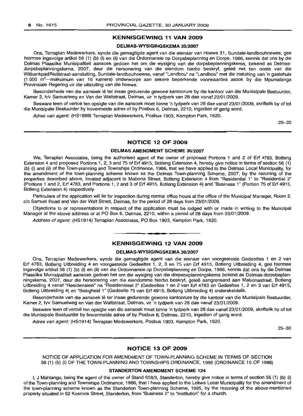# **KENNISGEWING 11 VAN 2009**

#### **DELMAS-WYSIGINGSKEMA** 35/2007

Ons, Terraplan Medewerkers, synde die gemagtigde agent van die eienaar van Hoewe 31, Sundale-Iandbouhoewes, gee hiermee ingevolge artikel 56 (1) (b) (i) en (ii) van die Ordonnansie op Dorpsbeplanning en Dorpe, 1986, kennis dat ons by die Delmas Plaaslike Munisipaliteit aansoek gedoen het om die wysiging van die dorpsbeplanningskema, bekend as Delmasdorpsbeplanningskema, 2007, deur die hersonering van die eiendom hierbo beskryf, gelee net ten ooste van die Witbankpad/Nellstraat-aansluiting, Sundale-landbouhoewes, vanaf "Landbou" na "Landbou" met die insluiting van 'n gastehuis (1 000 m2-maksimum van 16 kamers) onderworpe aan sekere beperkende voorwaardes asook by die Mpumalanga Provinsiale Regering vir die uitsluiting van die hoewe.

Besonderhede van die aansoek lê ter insae gedurende gewone kantoorure by die kantoor van die Munisipale Bestuurder, Kamer 2, h/v Samuelweg en Van der Waltstraat, Delmas, vir 'n tydperk van 28 dae vanaf 23/01/2009.

Besware teen of vertoë ten opsigte van die aansoek moet binne 'n tydperk van 28 dae vanaf 23/01/2009, skriftelik by of tot die Munisipale Bestuurder by bovermelde adres of by Posbus 6, Delmas, 2210, ingedien of gerig word.

Adres van agent: (HS1889) Terraplan Medewerkers, Posbus 1903, Kempton Park, 1620.

25-30

# **NOTICE 12 OF 2009**

#### **DELMAS AMENDMENT SCHEME** 36/2007

We, Terraplan Associates, being the authorised agent of the owner of proposed Portions 1 and 2 of Erf 4783, Botleng Extension 4 and proposed Portions 1, 2, 3 and 75 of Erf 4915, Botleng Extension 4, hereby give notice in terms of section 56 (1) (b) (i) and (ii) of the Town-planning and Townships Ordinance, 1986, that we have applied to the Delmas Local Municipality, for the amendment of the town-planning scheme known as the Delmas Town-planning Scheme, 2007, by the rezoning of the properties described above, located adjacent to Mabona Street, Botleng Extension 4 from "Residential 1" to "Residential 2" (Portions 1 and 2, Erf 4783, and Portions 1, 2 and 3 of Erf 4915, Botleng Extension 4) and "Business 1" (Portion 75 of Erf 4915, Botleng Extension 4) respectively.

Particulars of the application will lie for inspection during normal office hours at the office of the Municipal Manager, Room 2, c/o Samuel Road and Van der Walt Street, Delmas, for the period of 28 days from 23/01/2009.

Objections to or representations in respect of the application must be lodged with or made in writing to the Municipal Manager at the above address or at PO Box 6, Delmas, 2210, within a period of 28 days from 23/01/2009.

Address of agent: (HS1914) Terraplan Associates, PO Box 1903, Kempton Park, 1620. **-.**

# **KENNISGEWING 12 VAN 2009**

# **DELMAS-WYSIGINGSKEMA** 36/2007

Ons, Terraplan Medewerkers, synde die gemagtigde agent van die eienaar van voorgestelde Gedeeltes 1 en 2 van Erf 4783, Bot/eng Uitbreiding 4 en voorgestelde Gedeeltes 1, 2, 3 en 75 van Erf 4915, Botleng Uitbreiding 4, gee hiermee ingevolge artikel 56 (1) (b) (i) en (ii) van die Ordonnansie op Dorpsbeplanning en Dorpe, 1986, kennis dat ons by die Delmas Plaaslike Munisipaliteit aansoek gedoen het om die wysiging van die dorpsbeplanningskema bekend as Delmas-dorpsbeplanningskema, 2007, deur die hersonering van die eiendomme hierbo beskryf, gelee aangrensend aan Mabonastraat, Botleng Uitbreiding 4 vanaf "Residensieel" na "Residensieel 2" (Gedeeltes 1 en 2 van Erf 4783 en Gedeeltes 1, 2 en 3 van Erf 4915, Botleng Uitbreiding 4) en "Besigheid 1" (Gedeelte 75 van Erf 4915, Botleng Uitbreiding 4) onderskeidelik.

Besonderhede van die aansoek lê ter insae gedurende gewone kantoorure by die kantoor van die Munisipale Bestuurder, Kamer 2, h/v Samuelweg en Van der Waltstraat, Delmas, vir 'n tydperk van 28 dae vanaf 23/01/2009.

Besware teen of vertoë ten opsigte van die aansoek moet binne 'n tydperk van 28 dae vanaf 23/01/2009, skriftelik by of tot die Munisipale Bestuurder by bovermelde adres of by Posbus 6, Delmas, 2210, ingedien of gerig word.

Adres van agent: (HS1914) Terraplan Medewerkers, Posbus 1903, Kempton Park, 1620.

25-30

#### **NOTICE 13 OF 2009**

NOTICE OF APPLICATION FOR AMENDMENT OF TOWN-PLANNING SCHEME IN TERMS OF SECTION 56 (1) (b) (i) OF THE TOWN-PLANNING AND TOWNSHIPS ORDINANCE, 1986 (ORDINANCE 15 OF 1986)

## **STANDERTON AMENDMENT SCHEME 124**

I, J Mahlangu, being the agent of the owner of Stand 658/3, Standerton, hereby give notice in terms of section 56 (1) (b) (i) of the Town-planning and Townships Ordinance, 1986, that I have applied to the Lekwa Local Municipality for the amendment of the town-planning scheme known as the Standerton Town-planning Scheme, 1995, by the rezoning of the above-mentioned property situated in 62 Kosmos Street, Standerton, from "Business 2" to "Institution" for a church.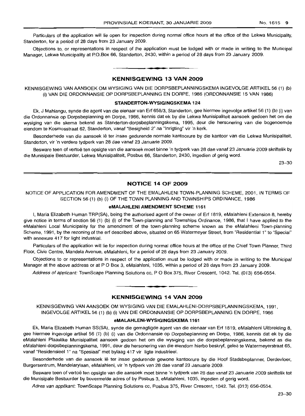Particulars of the application will lie open for inspection during normal office hours at the office of the Lekwa Municipality, Standerton, for a period of 28 days from 23 January 2009.

Objections to, or representations in respect of the application must be lodged with or made in writing to the Municipal Manager, Lekwa Municipality at P.O.Box 66, Standerton, 2430, within a period of 28 days from 23 January 2009.

# **-. KENNISGEWING 13 VAN 2009**

KENNISGEWING VAN AANSOEK OM WYSIGING VAN DIE DORPSBEPLANNINGSKEMA INGEVOLGE ARTIKEL 56 (1) (b) (i) VAN DIE ORDONNANSIE OP DORPSBEPLANNING EN DORPE, 1986 (ORDONNANSIE 15 VAN 1986)

#### **STANDERTON-WYSIGINGSKEMA 124**

Ek, J Mahlangu, synde die agent van die eienaar van Ert 658/3, Standerton, gee hiermee ingevolge artikel 56 (1) (b) (i) van die Ordonnansie op Dorpsbeplanning en Dorpe, 1986, kennis dat ek by die Lekwa Munisipaliteit aansoek gedoen het om die wysiging van die skema bekend as Standerton-dorpsbeplanningskema, 1995, deur die hersonering van die bogenoemde eiendom te Kosmosstraat 62, Standerton, vanaf "Besigheid 2" na "Inrigting" vir 'n kerk.

Besonderhede van die aansoek lê ter insae gedurende normale kantoorure by die kantoor van die Lekwa Munisipaliteit, Standerton, vir 'n verdere tydperk van 28 dae vanaf 23 Januarie 2009.

Besware teen of vertoë ten opsigte van die aansoek moet binne 'n tydperk van 28 dae vanaf 23 Januarie 2009 skriftelik by die Munisipale Bestuurder, Lekwa Munisipaliteit, Posbus 66, Standerton, 2430, ingedien of gerig word.

23-30

# **NOTICE 14 OF 2009**

NOTICE OF APPLICATION FOR AMENDMENT OF THE EMALAHLENI TOWN-PLANNING SCHEME, 2001, IN TERMS OF SECTION 56 (1) (b) (i) OF THE TOWN PLANNING AND TOWNSHIPS ORDINANCE, 1986

#### **eMALAHLENI AMENDMENT SCHEME 1161**

I, Maria Elizabeth Human TRP(SA), being the authorised agent of the owner of Ert 1819, eMalahleni Extension 8, hereby give notice in terms of section 56 (1) (b) (i) of the Town-planning and Townships Ordinance, 1986, that I have applied to the eMalahleni Local Municipality for the amendment of the town-planning scheme known as the eMalahleni Town-planning Scheme, 1991, by the rezoning of the ert described above, situated on 65 Watermeyer Street, from "Residential 1" to "Special" with annexure 417 for light industrial.

Particulars of the application will lie for inspection during normal office hours at the office of the Chief Town Planner, Third Floor, Civic Centre, Mandela Avenue, eMalahleni, for a period of 28 days from 23 January 2009.

Objections to or representations in respect of the application must be lodged with or made in writing to the Municipal Manager at the above address or at P O Box 3, eMalahleni, 1035, within a period of 28 days from 23 January 2009.

Address of applicant: TownScape Planning Solutions cc, P O Box 375, River Crescent, 1042. Tel. (013) 656-0554.

# **KENNISGEWING 14 VAN 2009**

.**- .**

KENNISGEWING VAN AANSOEK OM WYSIGING VAN DIE EMALAHLENI-DORPSBEPLANNINGSKEMA, 1991, INGEVOLGE ARTIKEL 56 (1) (b) (i) VAN DIE ORDONNANSIE OP DORPSBEPLANNING EN DORPE, 1986

#### **eMALAHLENI-WYSIGINGSKEMA 1161**

Ek, Maria Elizabeth Human SS(SA), synde die gemagtigde agent van die eienaar van Ert 1819, eMalahleni Uitbreiding 8, gee hiermee ingevolge artikel 56 (1) (b) (i) van die Ordonnansie op Dorpsbeplanning en Dorpe, 1986, kennis dat ek by die eMalahleni Plaaslike Munisipaliteit aansoek gedoen het om die wysiging van die dorpsbeplanningskema, bekend as die eMalahleni-dorpsbeplanningskema, 1991, deur die hersonering van die eiendom hierbo beskryf, gelee te Watermeyerstraat 65, vanaf "Residensieel 1" na "Spesiaal" met bylaag 417 vir ligte industrieel.

Besonderhede van die aansoek lê ter insae gedurende gewone kantoorure by die Hoof Stadsbeplanner, Derdevloer, Burgersentrum, Mandelarylaan, eMalahleni, vir 'n tydperk van 28 dae vanaf 23 Januarie 2009.

Besware teen of vertoë ten opsigte van die aansoek moet binne 'n tydperk van 28 dae vanaf 23 Januarie 2009 skriftelik tot die Munisipale Bestuurder by bovermelde adres of by Posbus 3, eMalahleni, 1035, ingedien of gerig word.

Adres van applikant: TownScape Planning Solutions cc, Posbus 375, River Crescent, 1042. Tel. (013) 656-0554.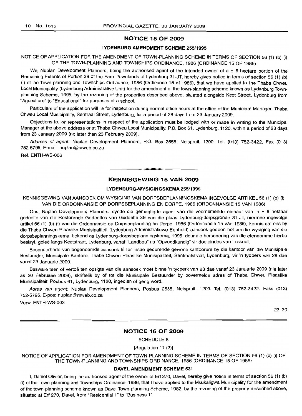# NOTICE 15 OF 2009

#### LYDENBURG AMENDMENT SCHEME 255/1995

# NOTICE OF APPLICATION FOR THE AMENDMENT OF TOWN-PLANNING SCHEME IN TERMS OF SECTION 56 (1) (b) (i) OF THE TOWN-PLANNING AND TOWNSHIPS ORDINANCE, 1986 (ORDINANCE 15 OF 1986)

We, Nuplan Development Planners, being the authorised agent of the intended owner of  $a \pm 6$  hectare portion of the Remaining Extents of Portion 39 of the Farm Townlands of Lydenburg 31-JT, hereby gives notice in terms of section 56 (1) (b) (i) of the Town-planning and Townships Ordinance, 1986 (Ordinance 15 of 1986), that we have applied to the Thaba Chweu Local Municipality (Lydenburg Administrative Unit) for the amendment of the town-planning scheme known as Lydenburg Townplanning Scheme, 1995, by the rezoning of the properties described above, situated alongside Keet Street, Lydenburg from "Agriculture" to "Educational" for purposes of a school.

Particulars of the application will lie for inspection during normal office hours at the office of the Municipal Manager, Thaba Chweu Local Municipality, Sentraal Street, Lydenburg, for a period of 28 days from 23 January 2009.

Objections to, or representations in respect of the application must be lodged with or made in writing to the Municipal Manager at the above address or at Thaba Chweu Local Municipality, P.O. Box 61, Lydenburg, 1120, within a period of 28 days from 23 January 2009 (no later than 23 February 2009).

Address of agent: Nuplan Development Planners, P.O. Box 2555, Nelspruit, 1200. Tel. (013) 752-3422, Fax (013) 752-5795, E-mail: nuplan@mweb.co.za

Ref. ENTH-WS-006

# KENNISGEWING 15 VAN 2009

**•**

# LYDENBURG-WYSIGINGSKEMA 255/1995

KENNISGEWING VAN AANSOEK OM WYSIGING VAN DORPSBEPLANNINGSKEMA INGEVOLGE ARTIKEL 56 (1) (b) (i) VAN DIE ORDONNANSIE OP DORPSBEPLANNING EN DORPE, 1986 (ORDONNANSIE 15 VAN 1986)

Ons, Nuplan Development Planners, synde die gemagtigde agent van die voornemende eienaar van 'n ± 6 hektaar gedeelte van die Resterende Gedeeltes van Gedeelte 39 van die plaas Lydenburg-dorpsgronde 31-JT, hiermee ingevolge artikel 56 (1) (b) (i) van die Ordonnansie op Dorpsbeplanning en Dorpe, 1986 (Ordonnansie 15 van 1986), kennis dat ons by die Thaba Chweu Plaaslike Munisipaliteit (Lydenburg Administratiewe Eenheid) aansoek gedoen het om die wysiging van die dorpsbeplanningskema, bekend as Lydenburg-dorpsbeplanningskema, 1995, deur die hersonering van die eiendomme hierbo beskryf, geleë langs Keetstraat, Lydenburg, vanaf "Landbou" na "Opvoedkundig" vir doeleindes van 'n skool.

Besonderhede van bogenoemde aansoek lê ter insae gedurende gewone kantoorure by die kantoor van die Munisipale Bestuurder, Munisipale Kantore, Thaba Chweu Plaaslike Munisipaliteit, Sentraalstraat, Lydenburg, vir 'n tydperk van 28 dae vanaf 23 Januarie 2009.

Besware teen of vertoë ten opsigte van die aansoek moet binne 'n tydperk van 28 dae vanaf 23 Januarie 2009 (nie later as 20 Februarie 2009), skriftelik by of tot die Munisipale Bestuurder by bovermelde adres of Thaba Chweu Plaaslike Munisipaliteit, Posbus 61, Lydenburg, 1120, ingedien of gerig word.

Adres van agent: Nuplan Development Planners, Posbus 2555, Nelspruit, 1200. Tel. (013) 752-3422. Faks (013) 752-5795. E-pos: nuplan@mweb.co.za

Verw. ENTH-WS-003

23-30

#### NOTICE 16 OF 2009

SCHEDULE 8

[Regulation 11 (2)]

NOTICE OF APPLICATION FOR AMENDMENT OF TOWN-PLANNING SCHEME IN TERMS OF SECTION 56 (1) (b) (i) OF THE TOWN-PLANNING AND TOWNSHIPS ORDINANCE, 1986 (ORDINANCE 15 OF 1986)

#### DAVEL AMENDMENT SCHEME 531

I, Daniel Olivier, being the authorised agent of the owner of Erf 270, Davel, hereby give notice in terms of section 56 (1) (b) (i) of the Town-planning and Townships Ordinance, 1986, that I have applied to the Msukaligwa Municipality for the amendment of the town-planning scheme known as Davel Town-planning Scheme, 1982, by the rezoning of the property described above, situated at Erf 270, Davel, from "Residential 1" to "Business 1".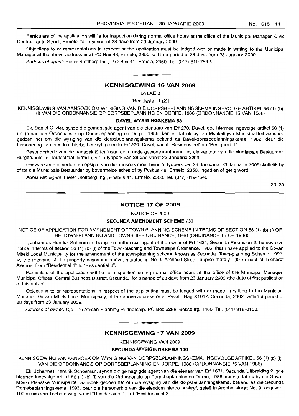Particulars of the application will lie for inspection during normal office hours at the office of the Municipal Manager, Civic Centre, Taute Street, Ermelo, for a period of 28 days from 23 January 2009.

Objections to or representations in respect of the application must be lodged with or made in writing to the Municipal Manager at the above address or at PO Box 48, Ermelo, 2350, within a period of 28 days from 23 January 2009.

Address of agent: Pieter Stoffberg Inc., P O Box 41, Ermelo, 2350. Tel. (017) 819-7542. **.-**

# **KENNISGEWING 16 VAN 2009**

BYLAE 8

[Regulasie 11 (2)]

KENNISGEWING VAN AANSOEK OM WYSIGING VAN DIE DORPSBEPLANNINGSKEMA INGEVOLGE ARTIKEL 56 (1) (b) (i) VAN DIE ORDONNANSIE OP DORPSBEPLANNING EN DORPE, 1986 (ORDONNANSIE 15 VAN 1986)

#### **DAVEL-WYSIGINGSKEMA 531**

Ek, Daniel Olivier, synde die gemagtigde agent van die eienaars van Erf 270, Davel, gee hiermee ingevolge artikel 56 (1) (b) (i) van die Ordonnansie op Dorpsbeplanning en Dorpe, 1986, kennis dat ek by die Msukaligwa Munisipaliteit aansoek gedoen het om die wysiging van die dorpsbeplanningskema bekend as Davel-dorpsbeplanningskema, 1982, deur die hersonering van eiendom hierbo beskryf, geleë te Erf 270, Davel, vanaf "Residensieel" na "Besigheid 1".

Besonderhede van die aansoek lê ter insae gedurende gewone kantoorure by die kantoor van die Munisipale Bestuurder, Burgersentrum, Tautestraat, Ermelo, vir 'n tydperk van 28 dae vanaf 23 Januarie 2009.

Besware teen of vertoë ten opsigte van die aansoek moet binne 'n tydperk van 28 dae vanaf 23 Januarie 2009 skriftelik by of tot die Munisipale Bestuurder by bovermelde adres of by Posbus 48, Ermelo, 2350, ingedien of gerig word.

Adres van agent: Pieter Stoffberg Ing., Posbus 41, Ermelo, 2350. Tel. (017) 819-7542.

23-30

# **NOTICE 17 OF 2009**

NOTICE OF 2009

#### SECUNDA AMENDMENT **SCHEME 130**

NOTICE OF APPLICATION FOR AMENDMENT OF TOWN PLANNING SCHEME IN TERMS OF SECTION 56 (1) (b) (i) OF THE TOWN-PLANNING AND TOWNSHIPS ORDINANCE, 1986 (ORDINANCE 15 OF 1986)

I, Johannes Hendrik Schoeman, being the authorised agent of the owner of Erf 1631, Secunda Extension 2, hereby give notice in terms of section 56 (1) (b) (i) of the Town-planning and Townships Ordinance, 1986, that I have applied to the Govan Mbeki Local Municipality for the amendment of the town-planning scheme known as Secunda Town-planning Scheme, 1993, by the rezoning of the property described above, situated in NO.9 Archbell Street, approximately 100 m east of Trichardt Avenue, from "Residential 1" to "Residential 3".

Particulars of the application will lie for inspection during normal office hours at the office of the Municipal Manager: Municipal Offices, Central Business District, Secunda, for a period of 28 days from 23 January 2009 (the date of first publication of this notice).

Objections to or representations in respect of the application must be lodged with or made in writing to the Municipal Manager: Govan Mbeki Local Municipality, at the above address or at Private Bag X1017, Secunda, 2302, within a period of 28 days from 23 January 2009.

Address of owner: C/o The African Planning Partnership, PO Box 2256, Boksburg, 1460. Tel. (011) 918-0100.

#### **KENNISGEWING 17 VAN 2009**

**. -**

KENNISGEWING VAN 2009

#### **SECUNDA-WYSIGINGSKEMA 130**

KENNISGEWING VAN AANSOEK OM WYSIGING VAN DORPSBEPLANNINGSKEMA, INGEVOLGE ARTIKEL 56 (1) (b) (i) VAN DIE ORDONNANSIE OP DORPSBEPLANNING EN DORPE, 1986 (ORDONNANSIE 15 VAN 1986)

Ek, Johannes Hendrik Schoeman, synde die gemagtigde agent van die eienaar van Erf 1631, Secunda Uitbreiding 2, gee hiermee ingevolge artikel 56 (1) (b) (i) van die Ordonnansie op Dorpsbeplanning en Dorpe, 1986, kennis dat ek by die Govan Mbeki Plaaslike Munisipaliteit aansoek gedoen het om die wysiging van die dorpsbeplanningskema, bekend as die Secunda Dorpsbeplanningskema, 1993, deur die hersonering van die eiendom hierbo beskryf, geleë in Archbellstraat No. 9, ongeveer 100 moos van Trichardtweg, vanaf "Residensieel 1" tot "Residensieel 3".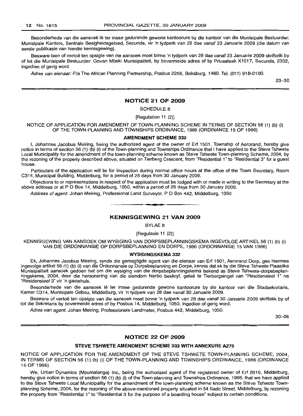Besonderhede van die aansoek lê ter insae gedurende gewone kantoorure by die kantoor van die Munisipale Bestuurder: Munisipale Kantore, Sentrale Besigheidsgebied, Secunda, vir 'n tydperk van 28 dae vanaf 23 Januarie 2009 (die datum van eerste publikasie van hierdie kennisgewing).

Besware teen of vertoë ten opsigte van die aansoek moet binne 'n tydperk van 28 dae vanaf 23 Januarie 2009 skriftelik by of tot die Munisipale Bestuurder: Govan Mbeki Munisipaliteit, by bovermelde adres of by Privaatsak X1017, Secunda, 2302, ingedien of gerig word.

Adres van eienaar: Pia The African Planning Partnership, Posbus 2256, Boksburg, 1460. Tel. (011) 918-0100.

23-30

#### **NOTICE 21 OF 2009**

SCHEDULE 8

[Regulation 11 (2)]

NOTICE OF APPLICATION FOR AMENDMENT OF TOWN-PLANNING SCHEME IN TERMS OF SECTION 56 (1) (b) (i) OF THE TOWN-PLANNING AND TOWNSHIPS ORDINANCE, 1986 (ORDINANCE 15 OF 1986)

#### **AMENDMENT SCHEME 332**

I, Johannes Jacobus Meiring, being the authorized agent of the owner of Erf 1501, Township of Aerorand, hereby give notice in terms of section 56 (1) (b) (i) of the Town-planning and Townships Ordinance that I have applied to the Steve Tshwete Local Municipality for the amendment of the town-planning scheme known as Steve Tshwete Town-planning Scheme, 2004, by the rezoning of the property described above, situated on Tierberg Crescent, from "Residential 1" to "Residential 3" for a guest house.

Particulars of the application will lie for inspection during normal office hours at the office of the Town Secretary, Room C314, Municipal Building, Middelburg, for a period of 28 days from 30 January 2009.

Objections to or representations in respect of the application must be lodged with or made in writing to the Secretary at the above address or at POBox 14, Middelburg, 1050, within a period of 28 days from 30 January 2009.

Address of agent: Johan Meiring, Professional Land Surveyor, P O Box 442, Middelburg, 1050.

# **KENNISGEWING 21 VAN 2009**

**. -**

BYLAE 8

[Regulasie 11 (2)]

KENNISGEWING VAN AANSOEK OM WYSIGING VAN DORPSBEPLANNINGSKEMA INGEVOLGE ARTIKEL 56 (1) (b) (i) VAN DIE ORDONNANSIE OP DORPSBEPLANNING EN DORPE, 1986 (ORDONNANSIE 15 VAN 1986)

#### **WYSIGINGSKEMA 332**

Ek, Johannes Jacobus Meiring, synde die gemagtigde agent van die eienaar van Erf 1501, Aerorand Dorp, gee hiermee ingevolge artikel 56 (1) (b) (i) van die Ordonnansie op Dorpsbeplanning en Dorpe, kennis dat ek by die Steve Tshwete Plaaslike Munisipaliteit aansoek gedoen het om die wysiging van die dorpsbeplanningskema bekend as Steve Tshwete-dorpsbeplanningskema, 2004, deur die hersonering van die eiendom hierbo beskryf, gelee te Tierbergsingel van "Residensieel 1" na "Residensieel 3" vir 'n gastehuis.

Besonderhede van die aansoek lê ter insae gedurende gewone kantoorure by die kantoor van die Stadsekretaris, Kamer C314, Munisipale Gebou, Middelburg, vir 'n tydperk van 28 dae vanaf 30 Januarie 2009.

Besware of vertoë ten opsigte van die aansoek moet binne 'n tydperk van 28 dae vanaf 30 Januarie 2009 skriftelik by of tot die Sekretaris by bovermelde adres of by Posbus 14, Middelburg, 1050, ingedien of gerig word.

Adres van agent: Johan Meiring, Professionele Landmeter, Posbus 442, Middelburg, 1050.

30--06

# **NOTICE 22 OF 2009**

# **STEVE TSHWETE AMENDMENT SCHEME 333 WITH ANNEXURE A275**

NOTICE OF APPLICATION FOR THE AMENDMENT OF THE STEVE TSHWETE TOWN-PLANNING SCHEME, 2004, IN TERMS OF SECTION 56 (1) (b) (i) OF THE TOWN-PLANNING AND TOWNSHIPS ORDINANCE, 1986 (ORDINANCE 15 OF 1986)

We, Urban Dynamics (Mpumalanga) Inc., being the authorized agent of the registered owner of Erf 2816, Middelburg, hereby give notice in terms of section 56 (1) (b) (i) of the Town-planning and Townships Ordinance, 1986, that we have applied to the Steve Tshwete Local Municipality for the amendment of the town-planning scheme known as the Steve Tshwete Townplanning Scheme, 2004, for the rezoning of the above-mentioned property situated in 54 Sadc Street, Middelburg, by rezoning the property from "Residential 1" to "Residential 3 for the purpose of a boarding house" subject to certain conditions.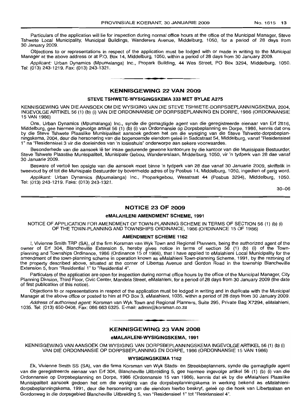Particulars of the application will lie for inspection during normal office hours at the office of the Municipal Manager, Steve Tshwete Local Municipality, Municipal Buildings, Wanderers Avenue, Middelburg, 1050, for a period of 28 days from 30 January 2009.

Objections to or representations in respect of the application must be lodged with or made in writing to the Municipal Manager at the above address or at P.O. Box 14, Middelburg, 1050, within a period of 28 days from 30 January 2009.

Applicant: Urban Dynamics (Mpumalanga) Inc., Propark Building, 44 Wes Street, PO Box 3294, Middelburg, 1050. Tel: (013) 243-1219. Fax: (013) 243-1321.

**- .**

## KENNISGEWING 22 VAN 2009

#### STEVE TSHWETE·WYSIGINGSKEMA 333 MET BYLAE A275

KENNISGEWING VAN DIE AANSOEK OM DIE WYSIGING VAN DIE STEVE TSHWETE-DORPSBEPLANNINGSKEMA, 2004, INGEVOLGE ARTIKEL 56 (1) (b) (i) VAN DIE ORDONNANSIE OP DORPSBEPLANNING EN DORPE, 1986 (ORDONNANSIE 15 VAN 1986)

Ons, Urban Dynamics (Mpumalanga) Inc., synde die gemagtigde agent van die geregistreerde eienaar van Erf 2816, Middelburg, gee hiermee ingevolge artikel 56 (1) (b) (i) van Ordonnansie op Dorpsbeplanning en Dorpe, 1986, kennis dat ons by die Steve Tshwete Plaaslike Munisipaliteit aansoek gedoen het om die wysiging van die Steve Tshwete-dorpsbeplanningskema, 2004, deur die hersonering van die bogenoemde eiendom gelee in Sadcstraat 54, Middelburg, vanaf "Residensieel 1" na "Residensieel 3 vir die doeleindes van 'n losieshuis" onderworpe aan sekere voorwaardes.

Besonderhede van die aansoek lê ter insae gedurende gewone kantoorure by die kantoor van die Munisipale Bestuurder, Steve Tshwete Plaaslike Munisipaliteit, Munisipale Gebou, Wandererslaan, Middelburg, 1050, vir 'n tydperk van 28 dae vanaf 30 Januarie 2009.

Besware of vertoë ten opsigte van die aansoek moet binne 'n tydperk van 28 dae vanaf 30 Januarie 2009, skriftelik in tweevoud by of tot die Munisipale Bestuurder by bovermelde adres of by Posbus 14, Middelburg, 1050, inqedien of gerig word.

Applikant: Urban Dynamics (Mpumalanga) lnc., Proparkgebou, Wesstraat 44 (Posbus 3294), Middelburg, 1050. Tel: (013) 243-1219. Faks: (013) 243-1321.

30-06

#### NOTICE 23 OF 2009

#### eMALAHLENI AMENDMENT SCHEME, 1991

NOTICE OF APPLICATION FOR AMENDMENT OF TOWN-PLANNING SCHEME IN TERMS OF SECTION 56 (1) (b) (i) OF THE TOWN-PLANNING AND TOWNSHIPS ORDINANCE, 1986 (ORDINANCE 15 OF 1986)

#### AMENDMENT SCHEME 1162

I, Vivienne Smith TRP (SA), of the firm Korsman van Wyk Town and Regional Planners, being the authorized agent of the owner of Erf 304, Blancheville Extension 5, hereby gives notice in terms of section 56 (1) (b) (i) of the Townplanning and Townships Ordinance, 1986 (Ordinance 15 of 1986), that I have applied to eMalahleni Local Municipality for the amendment of the town-planning scheme in operation known as eMalahleni Town-planning Scheme, 1991, by the rezoning of the property described above, situated at the corner of Libertas Avenue and Gordon Road in the township Blancheville Extension 5, from "Residential 1" to "Residential 4".

Particulars of the application are open for inspection during normal office hours by the office of the Municipal Manager, City Planning Division, Third Floor, Civic Center, Mandela Street, eMalahleni, for a period of 28 days from 30 January 2009 (the date of first publication of this notice).

Objections to or representations in respect of the application must be lodged in writing and in duplicate with the Municipal Manager at the above office or posted to him at PO Box 3, eMalahleni, 1035, within a period of 28 days from 30 January 2009.

Address of authorised agent: Korsman van Wyk Town and Regional Planners, Suite 295, Private Bag X7294, eMalahleni, 1035. Tel: (013) 650-0408. Fax: 086 663 6325. E-mail: admin@korsman.co.za

#### KENNISGEWING 23 VAN 2008

**• •**

#### eMALAHLENI-WYSIGINGSKEMA, 1991

KENNISGEWING VAN AANSOEK OM WYSIGING VAN DORPSBEPLANNINGSKEMA INGEVOLGE ARTIKEL 56 (1) (b) (i) VAN DIE ORDONNANSIE OP DORPSBEPLANNING EN DORPE, 1986 (ORDONNANSIE 15 VAN 1986)

## WYSIGINGSKEMA 1162

Ek, Vivienne Smith SS (SA), van die firma Korsman van Wyk Stads- en Streekbeplanners, synde die gemagtigde agent van die geregistreerde eienaar van Erf 304, Blancheville Uitbreiding 5, gee hiermee ingevolge artikel 56 (1) (b) (i) van die Ordonnansie op Dorpsbeplanning en Dorpe, 1986 (Ordonnansie 15 van 1986), kennis dat ek by die eMalahleni Plaaslike Munisipaliteit aansoek gedoen het om die wysiging van die dorpsbeplanningskema in werking bekend as eMalahlenidorpsbeplanningskema, 1991, deur die hersonering van die eiendom hierbo beskryf, gelee op die hoek van Libertaslaan en Gordonweg in die dorpsgebied Blancheville Uitbreiding 5, van "Residensieel 1" tot "Residensieel 4".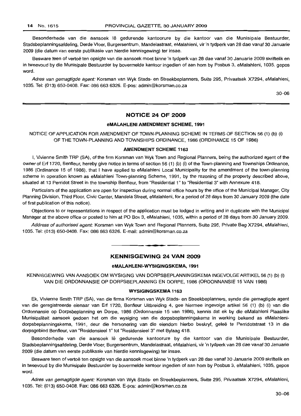Besonderhede van die aansoek lê gedurende kantoorure by die kantoor van die Munisipale Bestuurder, Stadsbeplanningsafdeling, Derde Vloer, Burgersentrum, Mandelastraat, eMalahleni, vir 'n tydperk van 28 dae vanaf 30 Januarie 2009 (die datum van eerste pubfikasie van hierdie kennisgewing) ter insae.

Besware teen of vertoë ten opsigte van die aansoek moet binne 'n tydperk van 28 dae vanaf 30 Januarie 2009 skriftelik en in tweevoud by die Munisipale Bestuurder by bovermelde kantoor ingedien of aan hom by Posbus 3, eMalahleni, 1035, gepos word.

Adres van gemagtigde agent: Korsman van Wyk Stads- en Streekbeplanners, Suite 295, Privaatsak X7294, eMalahleni, 1035. Tel: (013) 650-0408. Fax: 086 663 6326. E-pos: admin@korsman.co.za

30-06

#### **NOTICE 24 OF 2009**

## **eMALAHLENI AMENDMENT SCHEME, 1991**

# NOTICE OF APPLICATION FOR AMENDMENT OF TOWN-PLANNING SCHEME IN TERMS OF SECTION 56 (1) (b) (i) OF THE TOWN-PLANNING AND TOWNSHIPS ORDINANCE, 1986 (ORDINANCE 15 OF 1986)

#### **AMENDMENT SCHEME 1163**

I, Vivienne Smith TRP (SA), of the firm Korsman van Wyk Town and Regional Planners, being the authorized agent of the owner of Erf 1720, Benfleur, hereby give notice in terms of section 56 (1) (b) (i) of the Town-planning and Townships Ordinance, 1986 (Ordinance 15 of 1986), that I have applied to eMalahleni Local Municipality for the amendment of the town-planning scheme in operation known as eMalahleni Town-planning Scheme, 1991, by the rezoning of the property described above, situated at 13 Perridot Street in the township Benfleur, from "Residential 1" to "Residential 3" with Annexure 418.

Particulars of the application are open for inspection during normal office hours by the office of the Municipal Manager, City Planning Division, Third Floor, Civic Center, Mandela Street, eMalahleni, for a period of 28 days from 30 January 2009 (the date of first publication of this notice).

Objections to or representations in respect of the application must be lodged in writing and in duplicate with the Municipal Manager at the above office or posted to him at PO Box 3, eMalahleni, 1035, within a period of 28 days from 30 January 2009.

Address of authorised agent: Korsman van Wyk Town and Regional Planners, Suite 295, Private Bag X7294, eMalahleni, 1035. Tel: (013) 650-0408. Fax: 086 663 6326. E-mail: admin@korsman.co.za

## **KENNISGEWING 24 VAN 2009**

**• F**

#### **eMALAHLENI-WYSIGINGSKEMA, 1991**

KENNISGEWING VAN AANSOEK OM WYSIGING VAN DORPSBEPLANNINGSKEMA INGEVOLGE ARTIKEL 56 (1) (b) (i) VAN DIE ORDONNANSIE OP DORPSBEPLANNING EN DORPE, 1986 (ORDONNANSIE 15 VAN 1986)

#### **WYSIGINGSKEMA 1163**

Ek, Vivienne Smith TRP (SA), van die firma Korsman van Wyk Stads- en Streekbeplanners, synde die gemagtigde agent van die geregistreerde eienaar van Erf 1720, Benfleur Uitbreiding 4, gee hiermee ingevolge artikel 56 (1) (b) (i) van die Ordonnansie op Dorpsbeplanning en Dorpe, 1986 (Ordonnansie 15 van 1986), kennis dat ek by die eMalahleni Plaaslike Munisipaliteit aansoek gedoen het om die wysiging van die dorpsbeplanningskema in werking bekend as eMalahlenidorpsbeplanningskema, 1991, deur die hersonering van die eiendom hierbo beskryf, geleë te Perridotstraat 13 in die dorpsgebied Benfleur, van "Residensieel 1" tot "Residensieel 3" met Bylaag 418.

Besonderhede van die aansoek lê gedurende kantoorure by die kantoor van die Munisipale Bestuurder, Stadsbeplanningsafdeling, Derde Vloer, Burgersentrum, Mandelastraat, eMalahleni, vir 'n tydperk van 28 dae vanaf 30 Januarie 2009 (die datum van eerste publikasie van hierdie kennisgewing) ter insae.

Besware teen of vertoë ten opsigte van die aansoek moet binne 'n tydperk van 28 dae vanaf 30 Januarie 2009 skriftelik en in tweevoud by die Munisipale Bestuurder by bovermelde kantoor ingedien of aan hom by Posbus 3, eMalahleni, 1035, gepos word.

Adres van gemagtigde agent: Korsman van Wyk Stads- en Streekbeplanners, Suite 295, Privaatsak X7294, eMalahleni, 1035. Tel: (013) 650-0408. Fax: 086 663 6326. E-pos: admin@korsman.co.za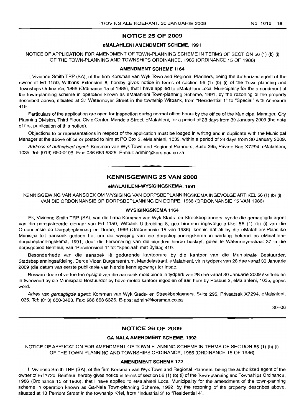# NOTICE 25 OF 2009

# eMALAHLENI AMENDMENT SCHEME, 1991

## NOTICE OF APPLICATION FOR AMENDMENT OF TOWN-PLANNING SCHEME IN TERMS OF SECTION 56 (1) (b) (i) OF THE TOWN-PLANNING AND TOWNSHIPS ORDINANCE, 1986 (ORDINANCE 15 OF 1986)

#### AMENDMENT SCHEME 1164

I, Vivienne Smith TRP (SA), of the firm Korsman van Wyk Town and Regional Planners, being the authorized agent of the owner of Erf 1150, Witbank Extension 8, hereby gives notice in terms of section 56 (1) (b) (i) of the Town-planning and Townships Ordinance, 1986 (Ordinance 15 of 1986), that I have applied to eMalahleni Local Municipality for the amendment of the town-planning scheme in operation known as eMalahleni Town-planning Scheme, 1991, by the rezoning of the property described above, situated at 37 Watermeyer Street in the township Witbank, from "Residential 1" to "Special" with Annexure 419.

Particulars of the application are open for inspection during normal office hours by the office of the Municipal Manager, City Planning Division, Third Floor, Civic Center, Mandela Street, eMalahleni, for a period of 28 days from 30 January 2009 (the date of first publication of this notice).

Objections to or representations in respect of the application must be lodged in writing and in duplicate with the Municipal Manager at the above office or posted to him at PO Box 3, eMalahleni, 1035, within a period of 28 days from 30 January 2009.

Address of authorised agent: Korsman van Wyk Town and Regional Planners, Suite 295, Private Bag X7294, eMalahleni, 1035. Tel: (013) 650-0408. Fax: 086 663 6326. E-mail: admin@korsman.co.za

# KENNISGEWING 25 VAN 2008

**- .**

# eMALAHLENI-WYSIGINGSKEMA, 1991

KENNISGEWING VAN AANSOEK OM WYSIGING VAN DORPSBEPLANNINGSKEMA INGEVOLGEARTIKEL56 (1) (b) (i) VAN DIE ORDONNANSIE OP DORPSBEPLANNING EN DORPE, 1986 (ORDONNANSIE 15 VAN 1986)

## WYSIGINGSKEMA 1164

Ek, Vivienne Smith TRP (SA), van die firma Korsman van Wyk Stads- en Streekbeplanners, synde die gemagtigde agent van die geregistreerde eienaar van Erf 1150, Witbank Uitbreiding 8, gee hiermee ingevolge artikel 56 (1) (b) (i) van die Ordonnansie op Dorpsbeplanning en Dorpe, 1986 (Ordonnansie 15 van 1986), kennis dat ek by die eMalahleni Plaaslike Munisipaliteit aansoek gedoen het om die wysiging van die dorpsbeplanningskema in werking bekend as eMalahlenidorpsbeplanningskema, 1991, deur die hersonering van die eiendom hierbo beskryf, geleë te Watermeyerstraat 37 in die dorpsgebied Benfleur, van "Residensieel 1" tot "Spesiaal" met Bylaag 419. .

Besonderhede van die aansoek lê gedurende kantoorure by die kantoor van die Munisipale Bestuurder, Stadsbeplanningsafdeling, Derde Vloer, Burgersentrum, Mandelastraat, eMalahleni, vir 'n tydperk van 28 dae vanaf 30 Januarie 2009 (die datum van eerste publikasie van hierdie kennisgewing) ter insae.

Besware teen of vertoë ten opsigte van die aansoek moet binne 'n tydperk van 28 dae vanaf 30 Januarie 2009 skriftelik en in tweevoud by die Munisipale Bestuurder by bovermelde kantoor ingedien of aan hom by Posbus 3, eMalahleni, 1035, gepos word.

Adres van gemagtigde agent: Korsman van Wyk Stads- en Streekbeplanners, Suite 295, Privaatsak X7294, eMalahleni, 1035. Tel: (013) 650-0408. Fax: 086 663 6326. E-pos: admin@korsman.co.za

30-06

# NOTICE 26 OF 2009

#### GA-NALA AMENDMENT SCHEME, 1992

NOTICE OF APPLICATION FOR AMENDMENT OF TOWN-PLANNING SCHEME IN TERMS OF SECTION 56 (1) (b) (i) OF THE TOWN-PLANNING AND TOWNSHIPS ORDINANCE, 1986 (ORDINANCE 15 OF 1986)

#### AMENDMENT SCHEME 172

I, Vivienne Smith TRP (SA), of the firm Korsman van Wyk Town and Regional Planners, being the authorized agent of the owner of Erf 1720, Benfleur, hereby gives notice in terms of section 56 (1) (b) (i) of the Town-planning and Townships Ordinance, 1986 (Ordinance 15 of 1986), that I have applied to eMalahleni Local Municipality for the amendment of the town-planning scheme in operation known as Ga-Nala Town-planning Scheme, 1992, by the rezoning of the property described above, situated at 13 Perridot Street in the township Kriel, from "Industrial 3" to "Residential 4".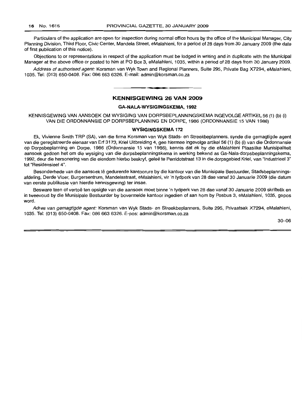Particulars of the application are open for inspection during normal office hours by the office of the Municipal Manager, City Planning Division, Third Floor, Civic Center, Mandela Street, eMalahleni, for a period of 28 days from 30 January 2009 (the date of first publication of this notice).

Objections to or representations in respect of the application must be lodged in writing and in duplicate with the Municipal Manager at the above office or posted to him at PO Box 3, eMalahleni, 1035, within a period of 28 days from 30 January 2009.

Address of authorised agent: Korsman van Wyk Town and Regional Planners, Suite 295, Private Bag X7294, eMalahleni, 1035. Tel: (013) 650-0408. Fax: 086 663 6326. E-mail: admin@korsman.co.za

# **KENNISGEWING 26 VAN 2009**

**• •**

# **GA-NALA-WYSIGINGSKEMA,1992**

KENNISGEWING VAN AANSOEK OM WYSIGING VAN DORPSBEPLANNINGSKEMA INGEVOLGEARTIKEL56 (1) (b) (i) VAN DIE ORDONNANSIE OP DORPSBEPLANNING EN DORPE, 1986 (ORDONNANSIE 15 VAN 1986)

#### **WYSIGINGSKEMA 172**

Ek, Vivienne Smith TRP (SA), van die firma Korsman van Wyk Stads- en Streekbeplanners, synde die gemagtigde agent van die geregistreerde eienaar van Erf 3173, Kriel Uitbreiding 4, gee hiermee ingevolge artikel 56 (1) (b) (i) van die Ordonnansie op Dorpsbeplanning en Dorpe, 1986 (Ordonnansie 15 van 1986), kennis dat ek by die eMalahleni Plaaslike Munisipaliteit aansoek gedoen het om die wysiging van die dorpsbeplanningskema in werking bekend as Ga-Nala-dorpsbeplanningskema, 1992, deur die hersonering van die eiendom hierbo beskryf, gelee te Perridotstraat 13 in die dorpsgebied Kriel, van "Industrieel 3" tot "Residensieel 4".

Besonderhede van die aansoek lê gedurende kantoorure by die kantoor van die Munisipale Bestuurder, Stadsbeplanningsafdeling, Derde Vloer, Burgersentrum, Mandelastraat, eMalahleni, vir 'n tydperk van 28 dae vanaf 30 Januarie 2009 (die datum van eerste publlkasie van hierdie kennisgewing) ter insae.

Besware teen of vertoë ten opsigte van die aansoek moet binne 'n tydperk van 28 dae vanaf 30 Januarie 2009 skriftelik en in tweevoud by die Munisipale Bestuurder by bovermelde kantoor ingedien of aan hom by Posbus 3, eMalahleni, 1035, gepos word.

Adres van gemagtigde agent: Korsman van Wyk Stads- en Streekbeplanners, Suite 295, Privaatsak X7294, eMalahleni, 1035. Tel: (013) 650-0408. Fax: 086 663 6326. E-pos: admin@korsman.co.za

30-06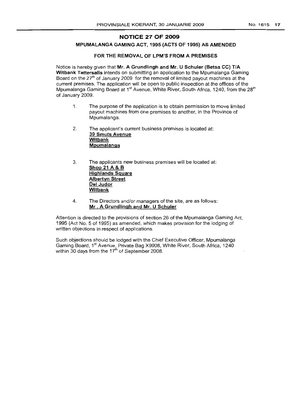# NOTICE 27 OF 2009

# MPUMALANGA GAMING ACT, 1995 (ACTS OF 1995) AS AMENDED

# FOR THE REMOVAL OF LPM'S FROM A PREMISES

Notice is hereby given that Mr. A Grundlingh and Mr. U Schuler (Betsa CC) T/A Witbank Tattersalls intends on submitting an application to the Mpumalanga Gaming Board on the  $27<sup>th</sup>$  of January 2009 for the removal of limited payout machines at the current premises. The application will be open to public inspection at the offices of the Mpumalanga Gaming Board at 1<sup>st</sup> Avenue, White River, South Africa, 1240, from the 28<sup>th</sup> of January 2009.

- 1. The purpose of the application is to obtain permission to move limited payout machines from one premises to another, in the Province of Mpumalanga.
- 2. The applicant's current business premises is located at: 39 Smuts Avenue **Witbank** Mpumalanga
- 3. The applicants new business premises will be located at: Shop 21 A & B Highlands Square Albertyn Street Del Judor Witbank
- 4. The Directors and/or managers of the site, are as follows: Mr . A Grundlingh and Mr. U Schuler

Attention is directed to the provisions of section 26 of the Mpumalanga Gaming Act, 1995 (Act No.5 of 1995) as amended, which makes provision for the lodging of written objections in respect of applications.

Such objections should be lodged with the Chief Executive Officer, Mpumalanga Gaming Board, 1<sup>st</sup> Avenue, Private Bag X9908, White River, South Africa, 1240 within 30 days from the  $17<sup>th</sup>$  of September 2008.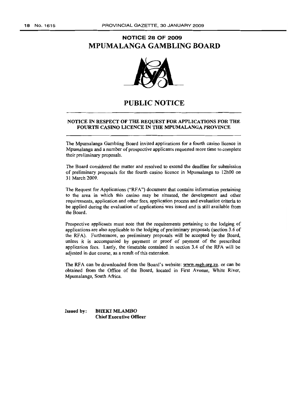# **NOTICE 28 OF 2009 MPUMALANGA GAMBLING BOARD**



# **PUBLIC NOTICE**

# NOTICE IN RESPECT OF THE REQUEST FOR APPLICATIONS FOR THE FOURTH CASINO LICENCE IN THE MPUMALANGA PROVINCE

The Mpumalanga Gambling Board invited applications for a fourth casino licence in Mpumalanga and a number of prospective applicants requested more time to complete their preliminary proposals.

The Board considered the matter and resolved to extend the deadline for submission of preliminary proposals for the fourth casino licence in Mpumalanga to 12hOO on 31 March 2009.

The Request for Applications ("RFA") document that contains information pertaining to the area in which this casino may be situated, the development and other requirements, application and other fees, application process and evaluation criteria to be applied during the evaluation of applications was issued and is still available from the Board.

Prospective applicants must note that the requirements pertaining to the lodging of applications are also applicable to the lodging of preliminary proposals (section 3.6 of the RFA). Furthermore, no preliminary proposals will be accepted by the Board, unless it is accompanied by payment or proof of payment of the prescribed application fees. Lastly, the timetable contained in section 3.4 of the RFA will be adjusted in due course, as a result of this extension.

The RFA can be downloaded from the Board's website: www.mgb.org.za. or can be obtained from the Office of the Board, located in First Avenue, White River, Mpumalanga, South Africa.

Issued by: BHEKI MLAMBO Chief Executive Officer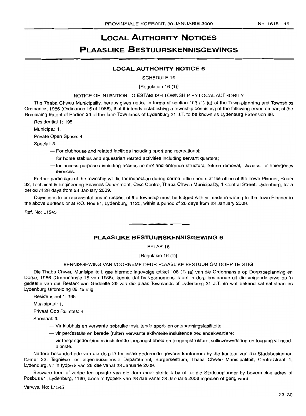# **LOCAL AUTHORITY NOTICES PLAASLIKE BESTUURSKENNISGEWINGS**

# **LOCAL AUTHORITY NOTICE 6**

SCHEDULE 16

#### [Regulation 16 (1)]

#### NOTICE OF INTENTION TO ESTABLISH TOWNSHIP BY LOCAL AUTHORITY

The Thaba Chweu Municipality, hereby gives notice in terms of section 108 (1) (a) of the Town-planning and Townships Ordinance, 1986 (Ordinance 15 of 1986), that it intends establishing a township consisting of the following erven on part of the Remaining Extent of Portion 39 of the farm Townlands of Lydenburg 31 J.T. to be known as Lydenburq Extension 86.

Residential 1: 195

Municipal: 1.

Private Open Space: 4.

Special: 3.

- For clubhouse and related facilities including sport and recreational;
- for horse stables and equestrian related activities including servant quarters;
- for access purposes including access control and entrance structure, refuse removal, access for emergency services.

Further particulars of the township will lie for inspection during normal office hours at the office of the Town Planner, Room 32, Technical & Engineering Services Department, Civic Centre, Thaba Chweu Municipality, 1 Central Street, Lydenburg, for a period of 28 days from 23 January 2009.

Objections to or representations in respect of the township must be lodged with or made in writinq to the Town Planner in the above address or at P.O. Box 61, Lydenburg, 1120, within a period of 28 days from 23 January 2009.

Ref. No: L1545

# **PLAASLIKE BESTUURSKENNISGEWING 6**

**.-**

BYLAE 16

[Regulasie 16 (1)]

## KENNISGEWING VAN VOORNEME DEUR PLAASLIKE BESTUUR OM DORP TE STIG

Die Thaba Chweu Munisipaliteit, gee hiermee ingevolge artikel 108 (1) (a) van die Ordonnansie op Dorpsbeplanning en Dorpe, 1986 (Ordonnansie 15 van 1986), kennis dat hy voornemens is om 'n dorp bestaande uit die volgende erwe op 'n gedeelte van die Restant van Gedeelte 39 van die plaas Townlands of Lydenburg 31 J.T. en wat bekend sal sal staan as Lydenburg Uitbreiding 86, te stig:

Residensieel 1: 195

Munisipaal: 1.

Privaat Oop Ruimtes: 4.

Spesiaal: 3.

- -- Vir klubhuis en verwante gebruike insluitende sport- en ontspanningsfasiliteite;
- vir perdestalle en berede (ruiter) verwante aktiwiteite insluitende bediendekwartiere;
- vir toegangsdoeleindes insluitende toegangsbeheer en toegangstrukture, vullisverwydering en toegang vir nooddienste.

Nadere besonderhede van die dorp lê ter insae gedurende gewone kantoorure by die kantoor van die Stadsbeplanner, Kamer 32, Tegniese- en Ingenieursdienste Departement, Burgersentrum, Thaba Chweu Munisipaliteit, Centralstraat 1, Lydenburg, vir 'n tydperk van 28 dae vanaf 23 Januarie 2009.

Besware teen of vertoë ten opsigte van die dorp moet skriftelik by of tot die Stadsbeplanner by bovermelde adres of Posbus 61, Lydenburg, 1120, binne 'n tydperk van 28 dae vanaf 23 Januarie 2009 ingedien of gerig word.

Verwys. No: L1545